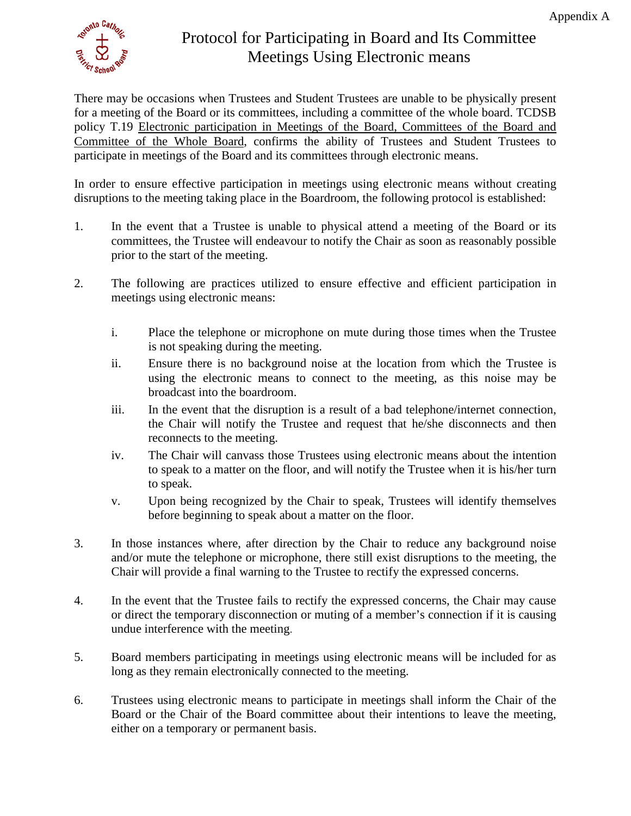

## Protocol for Participating in Board and Its Committee Meetings Using Electronic means

There may be occasions when Trustees and Student Trustees are unable to be physically present for a meeting of the Board or its committees, including a committee of the whole board. TCDSB policy T.19 Electronic participation in Meetings of the Board, Committees of the Board and Committee of the Whole Board, confirms the ability of Trustees and Student Trustees to participate in meetings of the Board and its committees through electronic means.

In order to ensure effective participation in meetings using electronic means without creating disruptions to the meeting taking place in the Boardroom, the following protocol is established:

- 1. In the event that a Trustee is unable to physical attend a meeting of the Board or its committees, the Trustee will endeavour to notify the Chair as soon as reasonably possible prior to the start of the meeting.
- 2. The following are practices utilized to ensure effective and efficient participation in meetings using electronic means:
	- i. Place the telephone or microphone on mute during those times when the Trustee is not speaking during the meeting.
	- ii. Ensure there is no background noise at the location from which the Trustee is using the electronic means to connect to the meeting, as this noise may be broadcast into the boardroom.
	- iii. In the event that the disruption is a result of a bad telephone/internet connection, the Chair will notify the Trustee and request that he/she disconnects and then reconnects to the meeting.
	- iv. The Chair will canvass those Trustees using electronic means about the intention to speak to a matter on the floor, and will notify the Trustee when it is his/her turn to speak.
	- v. Upon being recognized by the Chair to speak, Trustees will identify themselves before beginning to speak about a matter on the floor.
- 3. In those instances where, after direction by the Chair to reduce any background noise and/or mute the telephone or microphone, there still exist disruptions to the meeting, the Chair will provide a final warning to the Trustee to rectify the expressed concerns.
- 4. In the event that the Trustee fails to rectify the expressed concerns, the Chair may cause or direct the temporary disconnection or muting of a member's connection if it is causing undue interference with the meeting.
- 5. Board members participating in meetings using electronic means will be included for as long as they remain electronically connected to the meeting.
- 6. Trustees using electronic means to participate in meetings shall inform the Chair of the Board or the Chair of the Board committee about their intentions to leave the meeting, either on a temporary or permanent basis.